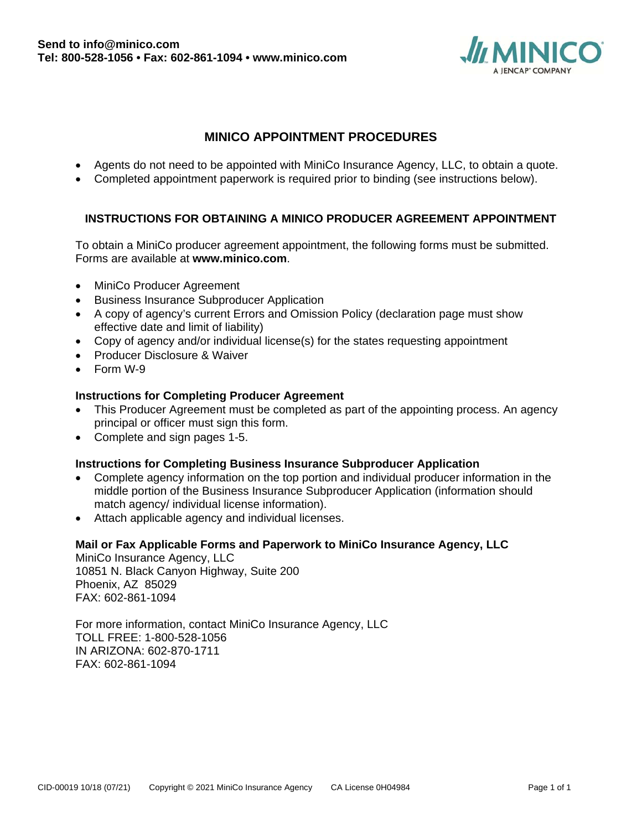

# **MINICO APPOINTMENT PROCEDURES**

- Agents do not need to be appointed with MiniCo Insurance Agency, LLC, to obtain a quote.
- Completed appointment paperwork is required prior to binding (see instructions below).

# **INSTRUCTIONS FOR OBTAINING A MINICO PRODUCER AGREEMENT APPOINTMENT**

To obtain a MiniCo producer agreement appointment, the following forms must be submitted. Forms are available at **www.minico.com**.

- MiniCo Producer Agreement
- **•** Business Insurance Subproducer Application
- A copy of agency's current Errors and Omission Policy (declaration page must show effective date and limit of liability)
- Copy of agency and/or individual license(s) for the states requesting appointment
- Producer Disclosure & Waiver
- Form W-9

#### **Instructions for Completing Producer Agreement**

- This Producer Agreement must be completed as part of the appointing process. An agency principal or officer must sign this form.
- Complete and sign pages 1-5.

#### **Instructions for Completing Business Insurance Subproducer Application**

- Complete agency information on the top portion and individual producer information in the middle portion of the Business Insurance Subproducer Application (information should match agency/ individual license information).
- Attach applicable agency and individual licenses.

#### **Mail or Fax Applicable Forms and Paperwork to MiniCo Insurance Agency, LLC**

MiniCo Insurance Agency, LLC 10851 N. Black Canyon Highway, Suite 200 Phoenix, AZ 85029 FAX: 602-861-1094

For more information, contact MiniCo Insurance Agency, LLC TOLL FREE: 1-800-528-1056 IN ARIZONA: 602-870-1711 FAX: 602-861-1094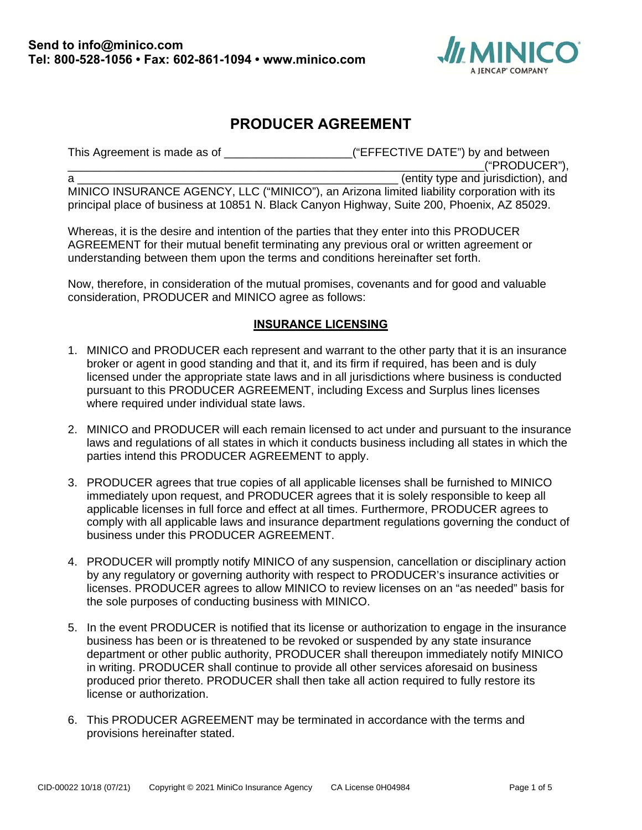

# **PRODUCER AGREEMENT**

This Agreement is made as of \_\_\_\_\_\_\_\_\_\_\_\_\_\_\_\_\_\_\_\_\_("EFFECTIVE DATE") by and between \_\_\_\_\_\_\_\_\_\_\_\_\_\_\_\_\_\_\_\_\_\_\_\_\_\_\_\_\_\_\_\_\_\_\_\_\_\_\_\_\_\_\_\_\_\_\_\_\_\_\_\_\_\_\_\_\_\_\_\_\_\_\_\_\_("PRODUCER"), a \_\_\_\_\_\_\_\_\_\_\_\_\_\_\_\_\_\_\_\_\_\_\_\_\_\_\_\_\_\_\_\_\_\_\_\_\_\_\_\_\_\_\_\_\_\_\_\_\_\_ (entity type and jurisdiction), and MINICO INSURANCE AGENCY, LLC ("MINICO"), an Arizona limited liability corporation with its principal place of business at 10851 N. Black Canyon Highway, Suite 200, Phoenix, AZ 85029.

Whereas, it is the desire and intention of the parties that they enter into this PRODUCER AGREEMENT for their mutual benefit terminating any previous oral or written agreement or understanding between them upon the terms and conditions hereinafter set forth.

Now, therefore, in consideration of the mutual promises, covenants and for good and valuable consideration, PRODUCER and MINICO agree as follows:

#### **INSURANCE LICENSING**

- 1. MINICO and PRODUCER each represent and warrant to the other party that it is an insurance broker or agent in good standing and that it, and its firm if required, has been and is duly licensed under the appropriate state laws and in all jurisdictions where business is conducted pursuant to this PRODUCER AGREEMENT, including Excess and Surplus lines licenses where required under individual state laws.
- 2. MINICO and PRODUCER will each remain licensed to act under and pursuant to the insurance laws and regulations of all states in which it conducts business including all states in which the parties intend this PRODUCER AGREEMENT to apply.
- 3. PRODUCER agrees that true copies of all applicable licenses shall be furnished to MINICO immediately upon request, and PRODUCER agrees that it is solely responsible to keep all applicable licenses in full force and effect at all times. Furthermore, PRODUCER agrees to comply with all applicable laws and insurance department regulations governing the conduct of business under this PRODUCER AGREEMENT.
- 4. PRODUCER will promptly notify MINICO of any suspension, cancellation or disciplinary action by any regulatory or governing authority with respect to PRODUCER's insurance activities or licenses. PRODUCER agrees to allow MINICO to review licenses on an "as needed" basis for the sole purposes of conducting business with MINICO.
- 5. In the event PRODUCER is notified that its license or authorization to engage in the insurance business has been or is threatened to be revoked or suspended by any state insurance department or other public authority, PRODUCER shall thereupon immediately notify MINICO in writing. PRODUCER shall continue to provide all other services aforesaid on business produced prior thereto. PRODUCER shall then take all action required to fully restore its license or authorization.
- 6. This PRODUCER AGREEMENT may be terminated in accordance with the terms and provisions hereinafter stated.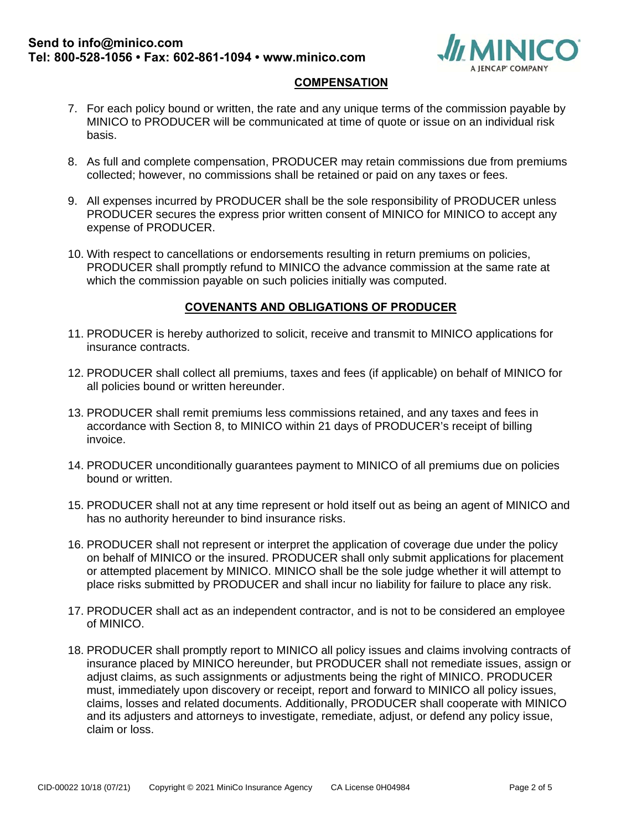

#### **COMPENSATION**

- 7. For each policy bound or written, the rate and any unique terms of the commission payable by MINICO to PRODUCER will be communicated at time of quote or issue on an individual risk basis.
- 8. As full and complete compensation, PRODUCER may retain commissions due from premiums collected; however, no commissions shall be retained or paid on any taxes or fees.
- 9. All expenses incurred by PRODUCER shall be the sole responsibility of PRODUCER unless PRODUCER secures the express prior written consent of MINICO for MINICO to accept any expense of PRODUCER.
- 10. With respect to cancellations or endorsements resulting in return premiums on policies, PRODUCER shall promptly refund to MINICO the advance commission at the same rate at which the commission payable on such policies initially was computed.

### **COVENANTS AND OBLIGATIONS OF PRODUCER**

- 11. PRODUCER is hereby authorized to solicit, receive and transmit to MINICO applications for insurance contracts.
- 12. PRODUCER shall collect all premiums, taxes and fees (if applicable) on behalf of MINICO for all policies bound or written hereunder.
- 13. PRODUCER shall remit premiums less commissions retained, and any taxes and fees in accordance with Section 8, to MINICO within 21 days of PRODUCER's receipt of billing invoice.
- 14. PRODUCER unconditionally guarantees payment to MINICO of all premiums due on policies bound or written.
- 15. PRODUCER shall not at any time represent or hold itself out as being an agent of MINICO and has no authority hereunder to bind insurance risks.
- 16. PRODUCER shall not represent or interpret the application of coverage due under the policy on behalf of MINICO or the insured. PRODUCER shall only submit applications for placement or attempted placement by MINICO. MINICO shall be the sole judge whether it will attempt to place risks submitted by PRODUCER and shall incur no liability for failure to place any risk.
- 17. PRODUCER shall act as an independent contractor, and is not to be considered an employee of MINICO.
- 18. PRODUCER shall promptly report to MINICO all policy issues and claims involving contracts of insurance placed by MINICO hereunder, but PRODUCER shall not remediate issues, assign or adjust claims, as such assignments or adjustments being the right of MINICO. PRODUCER must, immediately upon discovery or receipt, report and forward to MINICO all policy issues, claims, losses and related documents. Additionally, PRODUCER shall cooperate with MINICO and its adjusters and attorneys to investigate, remediate, adjust, or defend any policy issue, claim or loss.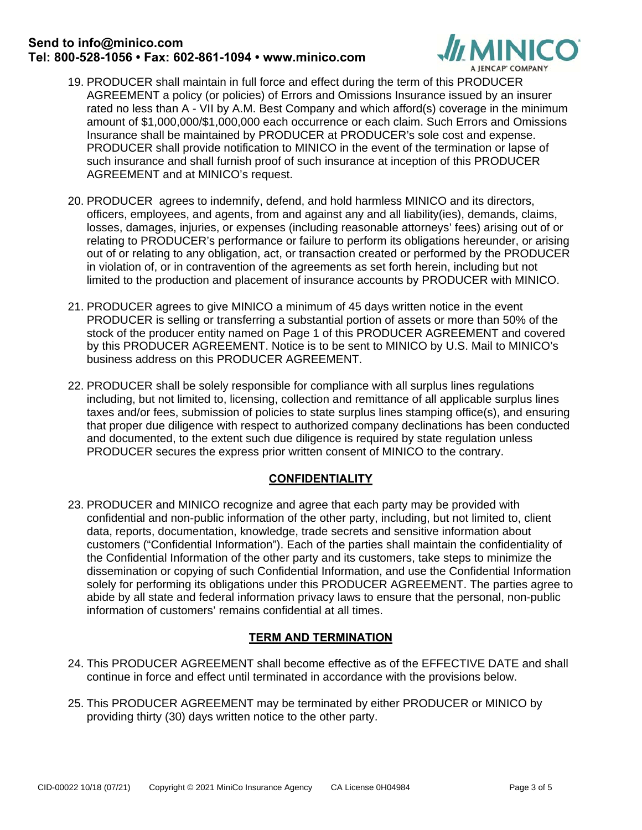# **Send to info@minico.com Tel: 800-528-1056 • Fax: 602-861-1094 • www.minico.com**



- 19. PRODUCER shall maintain in full force and effect during the term of this PRODUCER AGREEMENT a policy (or policies) of Errors and Omissions Insurance issued by an insurer rated no less than A - VII by A.M. Best Company and which afford(s) coverage in the minimum amount of \$1,000,000/\$1,000,000 each occurrence or each claim. Such Errors and Omissions Insurance shall be maintained by PRODUCER at PRODUCER's sole cost and expense. PRODUCER shall provide notification to MINICO in the event of the termination or lapse of such insurance and shall furnish proof of such insurance at inception of this PRODUCER AGREEMENT and at MINICO's request.
- 20. PRODUCER agrees to indemnify, defend, and hold harmless MINICO and its directors, officers, employees, and agents, from and against any and all liability(ies), demands, claims, losses, damages, injuries, or expenses (including reasonable attorneys' fees) arising out of or relating to PRODUCER's performance or failure to perform its obligations hereunder, or arising out of or relating to any obligation, act, or transaction created or performed by the PRODUCER in violation of, or in contravention of the agreements as set forth herein, including but not limited to the production and placement of insurance accounts by PRODUCER with MINICO.
- 21. PRODUCER agrees to give MINICO a minimum of 45 days written notice in the event PRODUCER is selling or transferring a substantial portion of assets or more than 50% of the stock of the producer entity named on Page 1 of this PRODUCER AGREEMENT and covered by this PRODUCER AGREEMENT. Notice is to be sent to MINICO by U.S. Mail to MINICO's business address on this PRODUCER AGREEMENT.
- 22. PRODUCER shall be solely responsible for compliance with all surplus lines regulations including, but not limited to, licensing, collection and remittance of all applicable surplus lines taxes and/or fees, submission of policies to state surplus lines stamping office(s), and ensuring that proper due diligence with respect to authorized company declinations has been conducted and documented, to the extent such due diligence is required by state regulation unless PRODUCER secures the express prior written consent of MINICO to the contrary.

### **CONFIDENTIALITY**

23. PRODUCER and MINICO recognize and agree that each party may be provided with confidential and non-public information of the other party, including, but not limited to, client data, reports, documentation, knowledge, trade secrets and sensitive information about customers ("Confidential Information"). Each of the parties shall maintain the confidentiality of the Confidential Information of the other party and its customers, take steps to minimize the dissemination or copying of such Confidential Information, and use the Confidential Information solely for performing its obligations under this PRODUCER AGREEMENT. The parties agree to abide by all state and federal information privacy laws to ensure that the personal, non-public information of customers' remains confidential at all times.

### **TERM AND TERMINATION**

- 24. This PRODUCER AGREEMENT shall become effective as of the EFFECTIVE DATE and shall continue in force and effect until terminated in accordance with the provisions below.
- 25. This PRODUCER AGREEMENT may be terminated by either PRODUCER or MINICO by providing thirty (30) days written notice to the other party.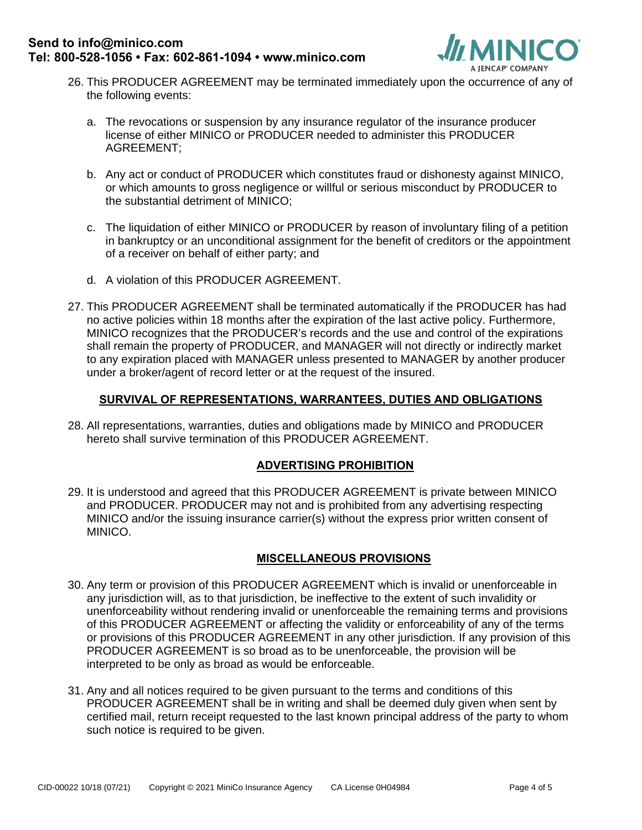

- 26. This PRODUCER AGREEMENT may be terminated immediately upon the occurrence of any of the following events:
	- a. The revocations or suspension by any insurance regulator of the insurance producer license of either MINICO or PRODUCER needed to administer this PRODUCER AGREEMENT;
	- b. Any act or conduct of PRODUCER which constitutes fraud or dishonesty against MINICO, or which amounts to gross negligence or willful or serious misconduct by PRODUCER to the substantial detriment of MINICO;
	- c. The liquidation of either MINICO or PRODUCER by reason of involuntary filing of a petition in bankruptcy or an unconditional assignment for the benefit of creditors or the appointment of a receiver on behalf of either party; and
	- d. A violation of this PRODUCER AGREEMENT.
- 27. This PRODUCER AGREEMENT shall be terminated automatically if the PRODUCER has had no active policies within 18 months after the expiration of the last active policy. Furthermore, MINICO recognizes that the PRODUCER's records and the use and control of the expirations shall remain the property of PRODUCER, and MANAGER will not directly or indirectly market to any expiration placed with MANAGER unless presented to MANAGER by another producer under a broker/agent of record letter or at the request of the insured.

### **SURVIVAL OF REPRESENTATIONS, WARRANTEES, DUTIES AND OBLIGATIONS**

28. All representations, warranties, duties and obligations made by MINICO and PRODUCER hereto shall survive termination of this PRODUCER AGREEMENT.

### **ADVERTISING PROHIBITION**

29. It is understood and agreed that this PRODUCER AGREEMENT is private between MINICO and PRODUCER. PRODUCER may not and is prohibited from any advertising respecting MINICO and/or the issuing insurance carrier(s) without the express prior written consent of MINICO.

### **MISCELLANEOUS PROVISIONS**

- 30. Any term or provision of this PRODUCER AGREEMENT which is invalid or unenforceable in any jurisdiction will, as to that jurisdiction, be ineffective to the extent of such invalidity or unenforceability without rendering invalid or unenforceable the remaining terms and provisions of this PRODUCER AGREEMENT or affecting the validity or enforceability of any of the terms or provisions of this PRODUCER AGREEMENT in any other jurisdiction. If any provision of this PRODUCER AGREEMENT is so broad as to be unenforceable, the provision will be interpreted to be only as broad as would be enforceable.
- 31. Any and all notices required to be given pursuant to the terms and conditions of this PRODUCER AGREEMENT shall be in writing and shall be deemed duly given when sent by certified mail, return receipt requested to the last known principal address of the party to whom such notice is required to be given.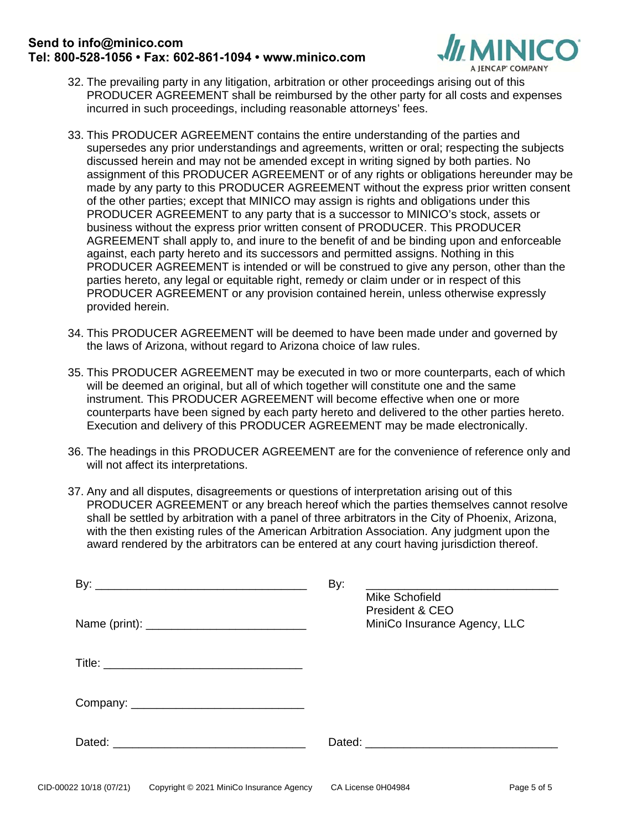## **Send to info@minico.com Tel: 800-528-1056 • Fax: 602-861-1094 • www.minico.com**



- 32. The prevailing party in any litigation, arbitration or other proceedings arising out of this PRODUCER AGREEMENT shall be reimbursed by the other party for all costs and expenses incurred in such proceedings, including reasonable attorneys' fees.
- 33. This PRODUCER AGREEMENT contains the entire understanding of the parties and supersedes any prior understandings and agreements, written or oral; respecting the subjects discussed herein and may not be amended except in writing signed by both parties. No assignment of this PRODUCER AGREEMENT or of any rights or obligations hereunder may be made by any party to this PRODUCER AGREEMENT without the express prior written consent of the other parties; except that MINICO may assign is rights and obligations under this PRODUCER AGREEMENT to any party that is a successor to MINICO's stock, assets or business without the express prior written consent of PRODUCER. This PRODUCER AGREEMENT shall apply to, and inure to the benefit of and be binding upon and enforceable against, each party hereto and its successors and permitted assigns. Nothing in this PRODUCER AGREEMENT is intended or will be construed to give any person, other than the parties hereto, any legal or equitable right, remedy or claim under or in respect of this PRODUCER AGREEMENT or any provision contained herein, unless otherwise expressly provided herein.
- 34. This PRODUCER AGREEMENT will be deemed to have been made under and governed by the laws of Arizona, without regard to Arizona choice of law rules.
- 35. This PRODUCER AGREEMENT may be executed in two or more counterparts, each of which will be deemed an original, but all of which together will constitute one and the same instrument. This PRODUCER AGREEMENT will become effective when one or more counterparts have been signed by each party hereto and delivered to the other parties hereto. Execution and delivery of this PRODUCER AGREEMENT may be made electronically.
- 36. The headings in this PRODUCER AGREEMENT are for the convenience of reference only and will not affect its interpretations.
- 37. Any and all disputes, disagreements or questions of interpretation arising out of this PRODUCER AGREEMENT or any breach hereof which the parties themselves cannot resolve shall be settled by arbitration with a panel of three arbitrators in the City of Phoenix, Arizona, with the then existing rules of the American Arbitration Association. Any judgment upon the award rendered by the arbitrators can be entered at any court having jurisdiction thereof.

| Mike Schofield                                  |
|-------------------------------------------------|
| President & CEO<br>MiniCo Insurance Agency, LLC |
|                                                 |
|                                                 |
|                                                 |
|                                                 |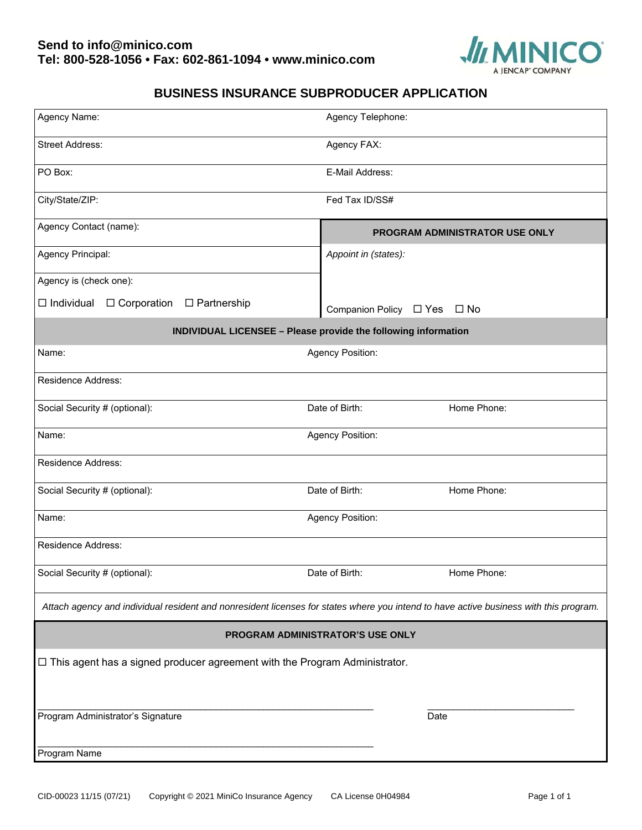

# **BUSINESS INSURANCE SUBPRODUCER APPLICATION**

| Agency Name:                                                                                                                          | Agency Telephone:              |  |
|---------------------------------------------------------------------------------------------------------------------------------------|--------------------------------|--|
| <b>Street Address:</b>                                                                                                                | Agency FAX:                    |  |
| PO Box:                                                                                                                               | E-Mail Address:                |  |
| City/State/ZIP:                                                                                                                       | Fed Tax ID/SS#                 |  |
| Agency Contact (name):                                                                                                                | PROGRAM ADMINISTRATOR USE ONLY |  |
| Agency Principal:                                                                                                                     | Appoint in (states):           |  |
| Agency is (check one):                                                                                                                |                                |  |
| $\Box$ Individual<br>$\Box$ Corporation<br>$\Box$ Partnership                                                                         | Companion Policy □ Yes □ No    |  |
| INDIVIDUAL LICENSEE - Please provide the following information                                                                        |                                |  |
| Name:<br>Agency Position:                                                                                                             |                                |  |
| <b>Residence Address:</b>                                                                                                             |                                |  |
| Social Security # (optional):                                                                                                         | Home Phone:<br>Date of Birth:  |  |
| Name:<br>Agency Position:                                                                                                             |                                |  |
| <b>Residence Address:</b>                                                                                                             |                                |  |
| Social Security # (optional):                                                                                                         | Date of Birth:<br>Home Phone:  |  |
| Name:                                                                                                                                 | Agency Position:               |  |
| <b>Residence Address:</b>                                                                                                             |                                |  |
| Social Security # (optional):                                                                                                         | Date of Birth:<br>Home Phone:  |  |
| Attach agency and individual resident and nonresident licenses for states where you intend to have active business with this program. |                                |  |
| PROGRAM ADMINISTRATOR'S USE ONLY                                                                                                      |                                |  |
| $\Box$ This agent has a signed producer agreement with the Program Administrator.                                                     |                                |  |
| Program Administrator's Signature                                                                                                     | Date                           |  |
| Program Name                                                                                                                          |                                |  |